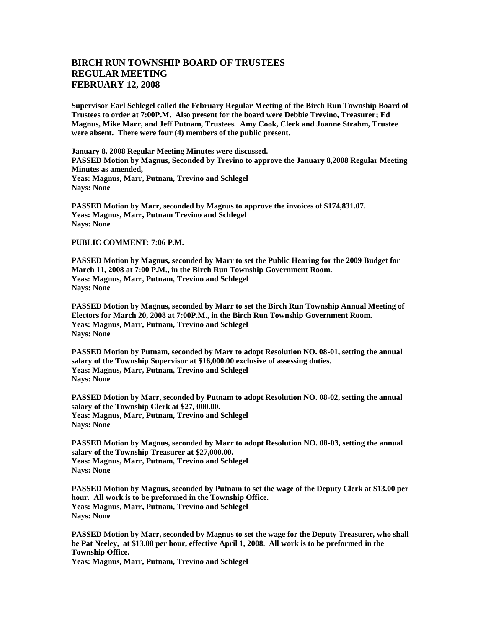## **BIRCH RUN TOWNSHIP BOARD OF TRUSTEES REGULAR MEETING FEBRUARY 12, 2008**

**Supervisor Earl Schlegel called the February Regular Meeting of the Birch Run Township Board of Trustees to order at 7:00P.M. Also present for the board were Debbie Trevino, Treasurer; Ed Magnus, Mike Marr, and Jeff Putnam, Trustees. Amy Cook, Clerk and Joanne Strahm, Trustee were absent. There were four (4) members of the public present.** 

**January 8, 2008 Regular Meeting Minutes were discussed. PASSED Motion by Magnus, Seconded by Trevino to approve the January 8,2008 Regular Meeting Minutes as amended, Yeas: Magnus, Marr, Putnam, Trevino and Schlegel Nays: None**

**PASSED Motion by Marr, seconded by Magnus to approve the invoices of \$174,831.07. Yeas: Magnus, Marr, Putnam Trevino and Schlegel Nays: None**

## **PUBLIC COMMENT: 7:06 P.M.**

**PASSED Motion by Magnus, seconded by Marr to set the Public Hearing for the 2009 Budget for March 11, 2008 at 7:00 P.M., in the Birch Run Township Government Room. Yeas: Magnus, Marr, Putnam, Trevino and Schlegel Nays: None**

**PASSED Motion by Magnus, seconded by Marr to set the Birch Run Township Annual Meeting of Electors for March 20, 2008 at 7:00P.M., in the Birch Run Township Government Room. Yeas: Magnus, Marr, Putnam, Trevino and Schlegel Nays: None**

**PASSED Motion by Putnam, seconded by Marr to adopt Resolution NO. 08-01, setting the annual salary of the Township Supervisor at \$16,000.00 exclusive of assessing duties. Yeas: Magnus, Marr, Putnam, Trevino and Schlegel Nays: None**

**PASSED Motion by Marr, seconded by Putnam to adopt Resolution NO. 08-02, setting the annual salary of the Township Clerk at \$27, 000.00. Yeas: Magnus, Marr, Putnam, Trevino and Schlegel Nays: None**

**PASSED Motion by Magnus, seconded by Marr to adopt Resolution NO. 08-03, setting the annual salary of the Township Treasurer at \$27,000.00. Yeas: Magnus, Marr, Putnam, Trevino and Schlegel Nays: None**

**PASSED Motion by Magnus, seconded by Putnam to set the wage of the Deputy Clerk at \$13.00 per hour. All work is to be preformed in the Township Office. Yeas: Magnus, Marr, Putnam, Trevino and Schlegel Nays: None**

**PASSED Motion by Marr, seconded by Magnus to set the wage for the Deputy Treasurer, who shall be Pat Neeley, at \$13.00 per hour, effective April 1, 2008. All work is to be preformed in the Township Office.**

**Yeas: Magnus, Marr, Putnam, Trevino and Schlegel**